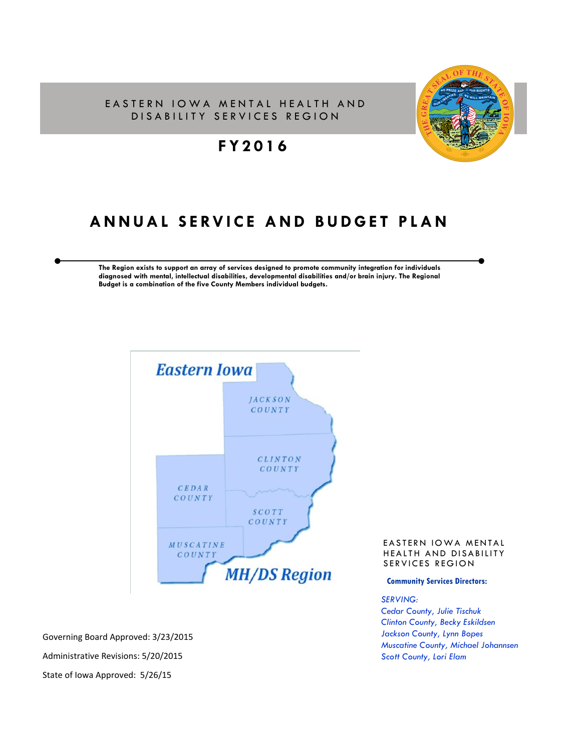#### EASTERN IOWA MENTAL HEALTH AND DISABILITY SERVICES REGION



# **FY2016**

# **ANNUAL SERVICE AND BUDGET PLAN**

**The Region exists to support an array of services designed to promote community integration for individuals diagnosed with mental, intellectual disabilities, developmental disabilities and/or brain injury. The Regional Budget is a combination of the five County Members individual budgets.** 



Governing Board Approved: 3/23/2015 Administrative Revisions: 5/20/2015 State of Iowa Approved: 5/26/15

#### EASTERN IOWA MENTAL HEALTH AND DISABILITY SERVICES REGION

#### **Community Services Directors:**

#### *SERVING:*

*Cedar County, Julie Tischuk Clinton County, Becky Eskildsen Jackson County, Lynn Bopes Muscatine County, Michael Johannsen Scott County, Lori Elam*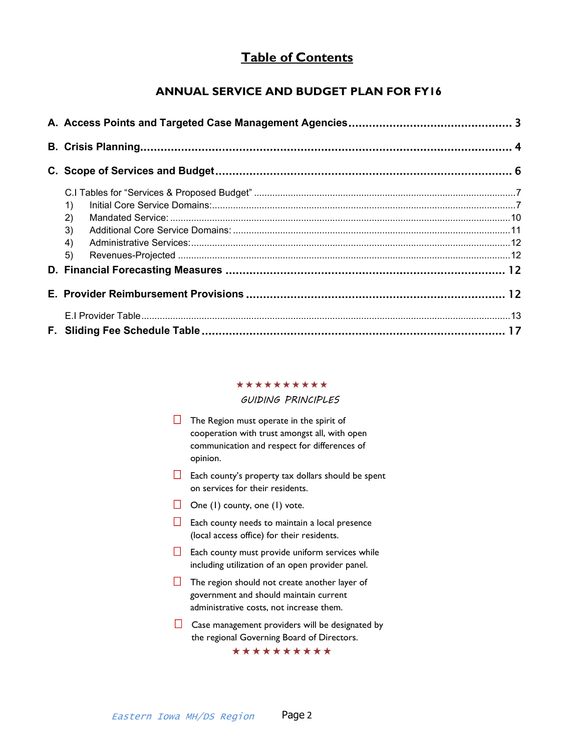# **Table of Contents**

### **ANNUAL SERVICE AND BUDGET PLAN FOR FY16**

| 1)<br>$\left( 2\right)$ |  |
|-------------------------|--|
| 3)                      |  |
| 4)                      |  |
| 5)                      |  |
|                         |  |
|                         |  |
|                         |  |
|                         |  |

#### \*\*\*\*\*\*\*\*\*\*

#### *GUIDING PRINCIPLES*

- $\Box$  The Region must operate in the spirit of cooperation with trust amongst all, with open communication and respect for differences of opinion.
- $\Box$  Each county's property tax dollars should be spent on services for their residents.
- $\Box$  One (1) county, one (1) vote.
- $\Box$  Each county needs to maintain a local presence (local access office) for their residents.
- $\Box$  Each county must provide uniform services while including utilization of an open provider panel.
- $\Box$  The region should not create another layer of government and should maintain current administrative costs, not increase them.
- $\Box$  Case management providers will be designated by the regional Governing Board of Directors.

\*\*\*\*\*\*\*\*\*\*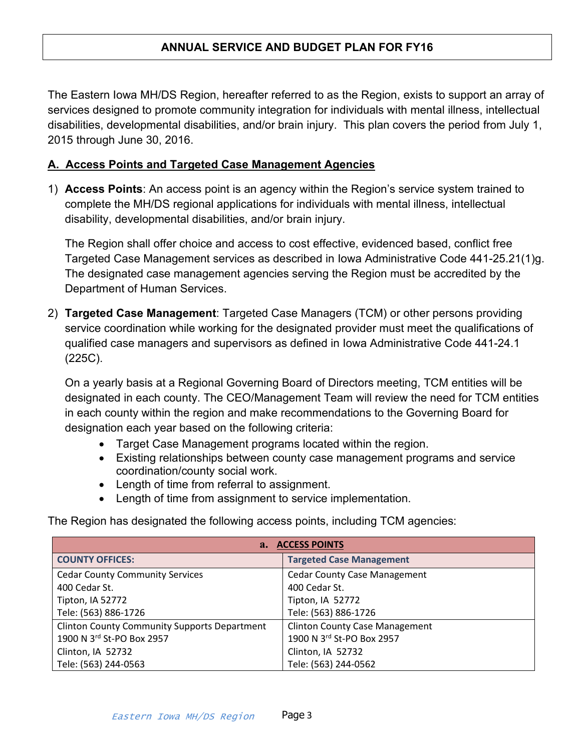# **ANNUAL SERVICE AND BUDGET PLAN FOR FY16**

The Eastern Iowa MH/DS Region, hereafter referred to as the Region, exists to support an array of services designed to promote community integration for individuals with mental illness, intellectual disabilities, developmental disabilities, and/or brain injury. This plan covers the period from July 1, 2015 through June 30, 2016.

### <span id="page-2-0"></span>**A. Access Points and Targeted Case Management Agencies**

1) **Access Points**: An access point is an agency within the Region's service system trained to complete the MH/DS regional applications for individuals with mental illness, intellectual disability, developmental disabilities, and/or brain injury.

The Region shall offer choice and access to cost effective, evidenced based, conflict free Targeted Case Management services as described in Iowa Administrative Code 441-25.21(1)g. The designated case management agencies serving the Region must be accredited by the Department of Human Services.

2) **Targeted Case Management**: Targeted Case Managers (TCM) or other persons providing service coordination while working for the designated provider must meet the qualifications of qualified case managers and supervisors as defined in Iowa Administrative Code 441-24.1 (225C).

On a yearly basis at a Regional Governing Board of Directors meeting, TCM entities will be designated in each county. The CEO/Management Team will review the need for TCM entities in each county within the region and make recommendations to the Governing Board for designation each year based on the following criteria:

- Target Case Management programs located within the region.
- Existing relationships between county case management programs and service coordination/county social work.
- Length of time from referral to assignment.
- Length of time from assignment to service implementation.

The Region has designated the following access points, including TCM agencies:

| a. ACCESS POINTS                                    |                                       |  |  |
|-----------------------------------------------------|---------------------------------------|--|--|
| <b>COUNTY OFFICES:</b>                              | <b>Targeted Case Management</b>       |  |  |
| <b>Cedar County Community Services</b>              | <b>Cedar County Case Management</b>   |  |  |
| 400 Cedar St.                                       | 400 Cedar St.                         |  |  |
| Tipton, IA 52772                                    | Tipton, IA 52772                      |  |  |
| Tele: (563) 886-1726                                | Tele: (563) 886-1726                  |  |  |
| <b>Clinton County Community Supports Department</b> | <b>Clinton County Case Management</b> |  |  |
| 1900 N 3rd St-PO Box 2957                           | 1900 N 3rd St-PO Box 2957             |  |  |
| Clinton, IA 52732                                   | Clinton, IA 52732                     |  |  |
| Tele: (563) 244-0563                                | Tele: (563) 244-0562                  |  |  |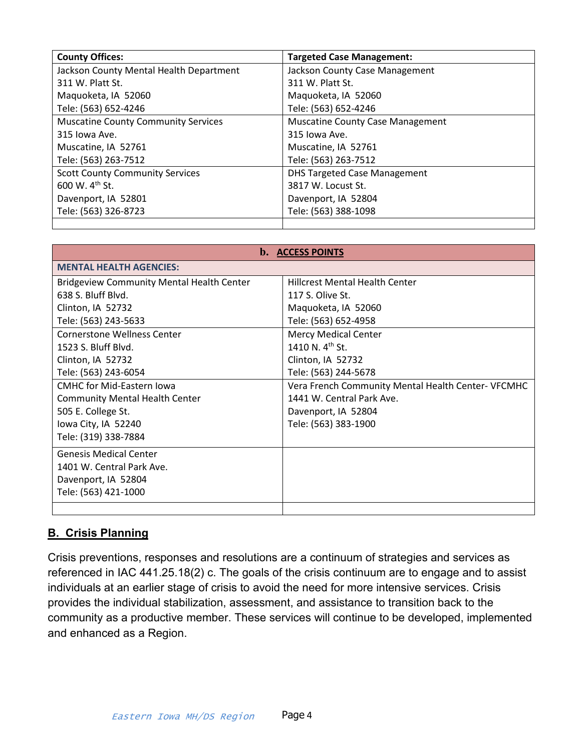| <b>County Offices:</b>                     | <b>Targeted Case Management:</b>        |
|--------------------------------------------|-----------------------------------------|
| Jackson County Mental Health Department    | Jackson County Case Management          |
| 311 W. Platt St.                           | 311 W. Platt St.                        |
| Maquoketa, IA 52060                        | Maquoketa, IA 52060                     |
| Tele: (563) 652-4246                       | Tele: (563) 652-4246                    |
| <b>Muscatine County Community Services</b> | <b>Muscatine County Case Management</b> |
| 315 Iowa Ave.                              | 315 Iowa Ave.                           |
| Muscatine, IA 52761                        | Muscatine, IA 52761                     |
| Tele: (563) 263-7512                       | Tele: (563) 263-7512                    |
| <b>Scott County Community Services</b>     | <b>DHS Targeted Case Management</b>     |
| 600 W. 4 <sup>th</sup> St.                 | 3817 W. Locust St.                      |
| Davenport, IA 52801                        | Davenport, IA 52804                     |
| Tele: (563) 326-8723                       | Tele: (563) 388-1098                    |
|                                            |                                         |

| <b>b.</b> ACCESS POINTS                          |                                                    |  |  |
|--------------------------------------------------|----------------------------------------------------|--|--|
| <b>MENTAL HEALTH AGENCIES:</b>                   |                                                    |  |  |
| <b>Bridgeview Community Mental Health Center</b> | <b>Hillcrest Mental Health Center</b>              |  |  |
| 638 S. Bluff Blvd.                               | 117 S. Olive St.                                   |  |  |
| Clinton, IA 52732                                | Maquoketa, IA 52060                                |  |  |
| Tele: (563) 243-5633                             | Tele: (563) 652-4958                               |  |  |
| <b>Cornerstone Wellness Center</b>               | <b>Mercy Medical Center</b>                        |  |  |
| 1523 S. Bluff Blvd.                              | 1410 N. $4^{th}$ St.                               |  |  |
| Clinton, IA 52732                                | Clinton, IA 52732                                  |  |  |
| Tele: (563) 243-6054                             | Tele: (563) 244-5678                               |  |  |
| <b>CMHC for Mid-Eastern Iowa</b>                 | Vera French Community Mental Health Center- VFCMHC |  |  |
| <b>Community Mental Health Center</b>            | 1441 W. Central Park Ave.                          |  |  |
| 505 E. College St.                               | Davenport, IA 52804                                |  |  |
| Iowa City, IA 52240                              | Tele: (563) 383-1900                               |  |  |
| Tele: (319) 338-7884                             |                                                    |  |  |
| <b>Genesis Medical Center</b>                    |                                                    |  |  |
| 1401 W. Central Park Ave.                        |                                                    |  |  |
| Davenport, IA 52804                              |                                                    |  |  |
| Tele: (563) 421-1000                             |                                                    |  |  |
|                                                  |                                                    |  |  |

### <span id="page-3-0"></span>**B. Crisis Planning**

Crisis preventions, responses and resolutions are a continuum of strategies and services as referenced in IAC 441.25.18(2) c. The goals of the crisis continuum are to engage and to assist individuals at an earlier stage of crisis to avoid the need for more intensive services. Crisis provides the individual stabilization, assessment, and assistance to transition back to the community as a productive member. These services will continue to be developed, implemented and enhanced as a Region.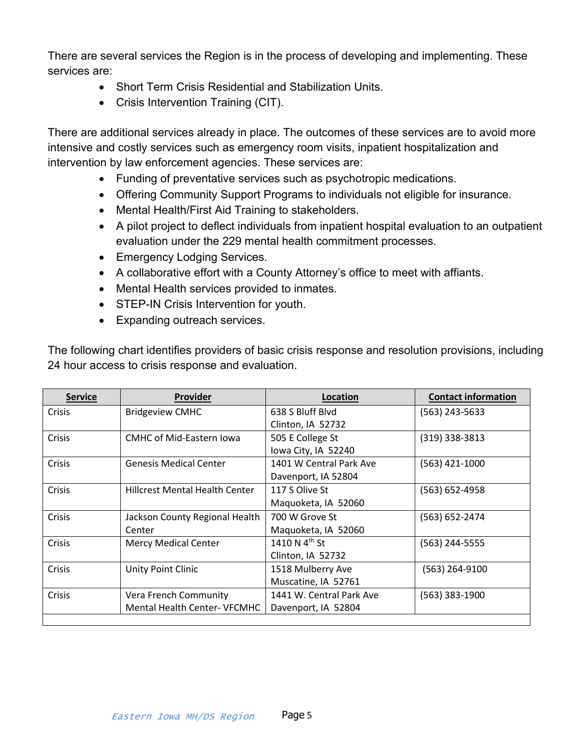There are several services the Region is in the process of developing and implementing. These services are:

- Short Term Crisis Residential and Stabilization Units.
- Crisis Intervention Training (CIT).

There are additional services already in place. The outcomes of these services are to avoid more intensive and costly services such as emergency room visits, inpatient hospitalization and intervention by law enforcement agencies. These services are:

- Funding of preventative services such as psychotropic medications.
- Offering Community Support Programs to individuals not eligible for insurance.
- Mental Health/First Aid Training to stakeholders.
- A pilot project to deflect individuals from inpatient hospital evaluation to an outpatient evaluation under the 229 mental health commitment processes.
- Emergency Lodging Services.
- A collaborative effort with a County Attorney's office to meet with affiants.
- Mental Health services provided to inmates.
- STEP-IN Crisis Intervention for youth.
- Expanding outreach services.

The following chart identifies providers of basic crisis response and resolution provisions, including 24 hour access to crisis response and evaluation.

| <b>Service</b> | <b>Provider</b>                       | Location                  | <b>Contact information</b> |
|----------------|---------------------------------------|---------------------------|----------------------------|
| Crisis         | <b>Bridgeview CMHC</b>                | 638 S Bluff Blvd          | $(563)$ 243-5633           |
|                |                                       | Clinton, IA 52732         |                            |
| Crisis         | <b>CMHC of Mid-Eastern Iowa</b>       | 505 E College St          | $(319)$ 338-3813           |
|                |                                       | lowa City, IA 52240       |                            |
| Crisis         | <b>Genesis Medical Center</b>         | 1401 W Central Park Ave   | $(563)$ 421-1000           |
|                |                                       | Davenport, IA 52804       |                            |
| Crisis         | <b>Hillcrest Mental Health Center</b> | 117 S Olive St            | $(563) 652 - 4958$         |
|                |                                       | Maquoketa, IA 52060       |                            |
| Crisis         | Jackson County Regional Health        | 700 W Grove St            | (563) 652-2474             |
|                | Center                                | Maquoketa, IA 52060       |                            |
| Crisis         | <b>Mercy Medical Center</b>           | 1410 N $4^{\text{th}}$ St | (563) 244-5555             |
|                |                                       | Clinton, IA 52732         |                            |
| Crisis         | Unity Point Clinic                    | 1518 Mulberry Ave         | (563) 264-9100             |
|                |                                       | Muscatine, IA 52761       |                            |
| Crisis         | Vera French Community                 | 1441 W. Central Park Ave  | $(563)$ 383-1900           |
|                | <b>Mental Health Center- VFCMHC</b>   | Davenport, IA 52804       |                            |
|                |                                       |                           |                            |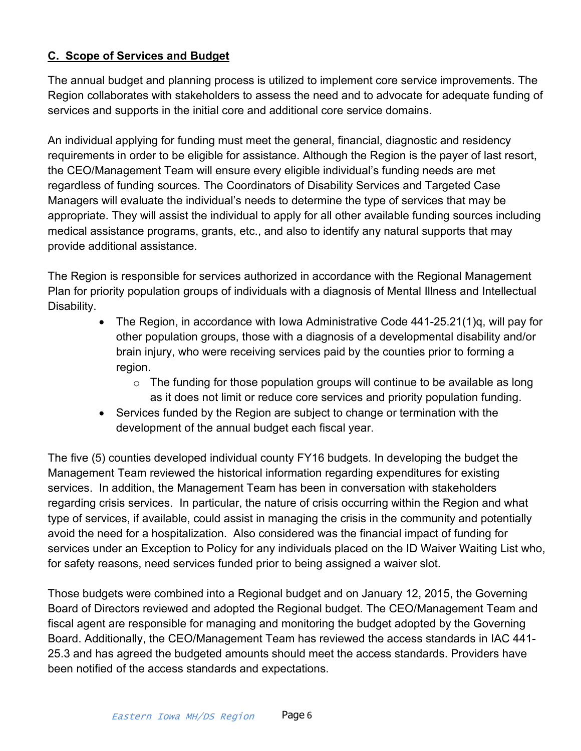## <span id="page-5-0"></span>**C. Scope of Services and Budget**

The annual budget and planning process is utilized to implement core service improvements. The Region collaborates with stakeholders to assess the need and to advocate for adequate funding of services and supports in the initial core and additional core service domains.

An individual applying for funding must meet the general, financial, diagnostic and residency requirements in order to be eligible for assistance. Although the Region is the payer of last resort, the CEO/Management Team will ensure every eligible individual's funding needs are met regardless of funding sources. The Coordinators of Disability Services and Targeted Case Managers will evaluate the individual's needs to determine the type of services that may be appropriate. They will assist the individual to apply for all other available funding sources including medical assistance programs, grants, etc., and also to identify any natural supports that may provide additional assistance.

The Region is responsible for services authorized in accordance with the Regional Management Plan for priority population groups of individuals with a diagnosis of Mental Illness and Intellectual Disability.

- The Region, in accordance with Iowa Administrative Code 441-25.21(1)q, will pay for other population groups, those with a diagnosis of a developmental disability and/or brain injury, who were receiving services paid by the counties prior to forming a region.
	- $\circ$  The funding for those population groups will continue to be available as long as it does not limit or reduce core services and priority population funding.
- Services funded by the Region are subject to change or termination with the development of the annual budget each fiscal year.

The five (5) counties developed individual county FY16 budgets. In developing the budget the Management Team reviewed the historical information regarding expenditures for existing services. In addition, the Management Team has been in conversation with stakeholders regarding crisis services. In particular, the nature of crisis occurring within the Region and what type of services, if available, could assist in managing the crisis in the community and potentially avoid the need for a hospitalization. Also considered was the financial impact of funding for services under an Exception to Policy for any individuals placed on the ID Waiver Waiting List who, for safety reasons, need services funded prior to being assigned a waiver slot.

Those budgets were combined into a Regional budget and on January 12, 2015, the Governing Board of Directors reviewed and adopted the Regional budget. The CEO/Management Team and fiscal agent are responsible for managing and monitoring the budget adopted by the Governing Board. Additionally, the CEO/Management Team has reviewed the access standards in IAC 441- 25.3 and has agreed the budgeted amounts should meet the access standards. Providers have been notified of the access standards and expectations.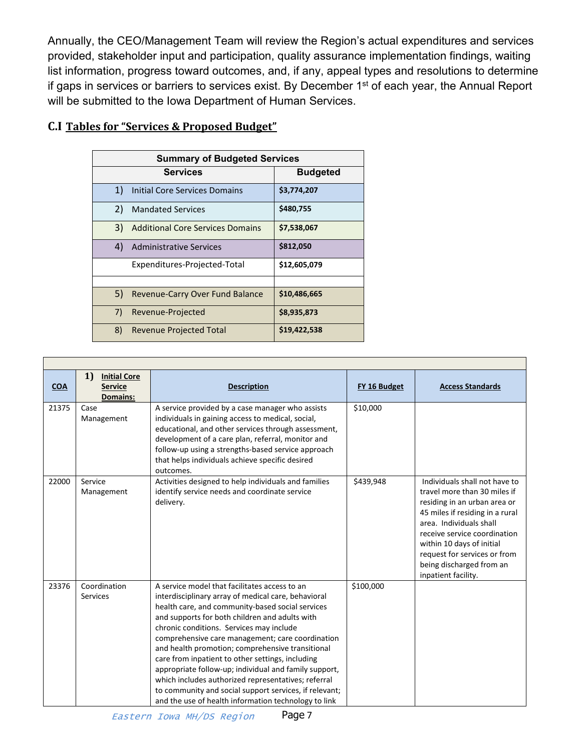Annually, the CEO/Management Team will review the Region's actual expenditures and services provided, stakeholder input and participation, quality assurance implementation findings, waiting list information, progress toward outcomes, and, if any, appeal types and resolutions to determine if gaps in services or barriers to services exist. By December 1<sup>st</sup> of each year, the Annual Report will be submitted to the Iowa Department of Human Services.

| <b>Summary of Budgeted Services</b> |                                         |                 |  |  |
|-------------------------------------|-----------------------------------------|-----------------|--|--|
|                                     | <b>Services</b>                         | <b>Budgeted</b> |  |  |
| 1)                                  | Initial Core Services Domains           | \$3,774,207     |  |  |
| 2)                                  | <b>Mandated Services</b>                | \$480,755       |  |  |
| 3)                                  | <b>Additional Core Services Domains</b> | \$7,538,067     |  |  |
| 4)                                  | <b>Administrative Services</b>          | \$812,050       |  |  |
|                                     | Expenditures-Projected-Total            | \$12,605,079    |  |  |
|                                     |                                         |                 |  |  |
| 5)                                  | <b>Revenue-Carry Over Fund Balance</b>  | \$10,486,665    |  |  |
| 7)                                  | Revenue-Projected                       | \$8,935,873     |  |  |
| 8)                                  | <b>Revenue Projected Total</b>          | \$19,422,538    |  |  |

## <span id="page-6-0"></span>**C.I Tables for "Services & Proposed Budget"**

<span id="page-6-1"></span>

| <b>COA</b> | 1<br><b>Initial Core</b><br><b>Service</b><br><b>Domains:</b> | <b>Description</b>                                                                                                                                                                                                                                                                                                                                                                                                                                                                                                                                                                                                                                   | FY 16 Budget | <b>Access Standards</b>                                                                                                                                                                                                                                                                                     |  |
|------------|---------------------------------------------------------------|------------------------------------------------------------------------------------------------------------------------------------------------------------------------------------------------------------------------------------------------------------------------------------------------------------------------------------------------------------------------------------------------------------------------------------------------------------------------------------------------------------------------------------------------------------------------------------------------------------------------------------------------------|--------------|-------------------------------------------------------------------------------------------------------------------------------------------------------------------------------------------------------------------------------------------------------------------------------------------------------------|--|
| 21375      | Case<br>Management                                            | A service provided by a case manager who assists<br>individuals in gaining access to medical, social,<br>educational, and other services through assessment,<br>development of a care plan, referral, monitor and<br>follow-up using a strengths-based service approach<br>that helps individuals achieve specific desired<br>outcomes.                                                                                                                                                                                                                                                                                                              | \$10,000     |                                                                                                                                                                                                                                                                                                             |  |
| 22000      | Service<br>Management                                         | Activities designed to help individuals and families<br>identify service needs and coordinate service<br>delivery.                                                                                                                                                                                                                                                                                                                                                                                                                                                                                                                                   | \$439,948    | Individuals shall not have to<br>travel more than 30 miles if<br>residing in an urban area or<br>45 miles if residing in a rural<br>area. Individuals shall<br>receive service coordination<br>within 10 days of initial<br>request for services or from<br>being discharged from an<br>inpatient facility. |  |
| 23376      | Coordination<br>Services                                      | A service model that facilitates access to an<br>interdisciplinary array of medical care, behavioral<br>health care, and community-based social services<br>and supports for both children and adults with<br>chronic conditions. Services may include<br>comprehensive care management; care coordination<br>and health promotion; comprehensive transitional<br>care from inpatient to other settings, including<br>appropriate follow-up; individual and family support,<br>which includes authorized representatives; referral<br>to community and social support services, if relevant;<br>and the use of health information technology to link | \$100,000    |                                                                                                                                                                                                                                                                                                             |  |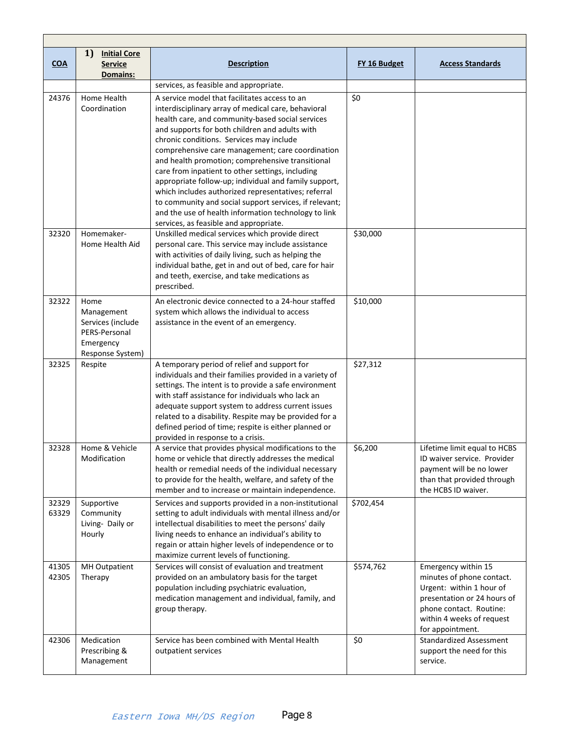| <b>COA</b>     | 1)<br><b>Initial Core</b><br><b>Service</b><br>Domains:                                   | <b>Description</b>                                                                                                                                                                                                                                                                                                                                                                                                                                                                                                                                                                                                                                                                             | FY 16 Budget | <b>Access Standards</b>                                                                                                                                                                 |
|----------------|-------------------------------------------------------------------------------------------|------------------------------------------------------------------------------------------------------------------------------------------------------------------------------------------------------------------------------------------------------------------------------------------------------------------------------------------------------------------------------------------------------------------------------------------------------------------------------------------------------------------------------------------------------------------------------------------------------------------------------------------------------------------------------------------------|--------------|-----------------------------------------------------------------------------------------------------------------------------------------------------------------------------------------|
|                |                                                                                           | services, as feasible and appropriate.                                                                                                                                                                                                                                                                                                                                                                                                                                                                                                                                                                                                                                                         |              |                                                                                                                                                                                         |
| 24376          | Home Health<br>Coordination                                                               | A service model that facilitates access to an<br>interdisciplinary array of medical care, behavioral<br>health care, and community-based social services<br>and supports for both children and adults with<br>chronic conditions. Services may include<br>comprehensive care management; care coordination<br>and health promotion; comprehensive transitional<br>care from inpatient to other settings, including<br>appropriate follow-up; individual and family support,<br>which includes authorized representatives; referral<br>to community and social support services, if relevant;<br>and the use of health information technology to link<br>services, as feasible and appropriate. | \$0          |                                                                                                                                                                                         |
| 32320          | Homemaker-<br>Home Health Aid                                                             | Unskilled medical services which provide direct<br>personal care. This service may include assistance<br>with activities of daily living, such as helping the<br>individual bathe, get in and out of bed, care for hair<br>and teeth, exercise, and take medications as<br>prescribed.                                                                                                                                                                                                                                                                                                                                                                                                         | \$30,000     |                                                                                                                                                                                         |
| 32322          | Home<br>Management<br>Services (include<br>PERS-Personal<br>Emergency<br>Response System) | An electronic device connected to a 24-hour staffed<br>system which allows the individual to access<br>assistance in the event of an emergency.                                                                                                                                                                                                                                                                                                                                                                                                                                                                                                                                                | \$10,000     |                                                                                                                                                                                         |
| 32325          | Respite                                                                                   | A temporary period of relief and support for<br>individuals and their families provided in a variety of<br>settings. The intent is to provide a safe environment<br>with staff assistance for individuals who lack an<br>adequate support system to address current issues<br>related to a disability. Respite may be provided for a<br>defined period of time; respite is either planned or<br>provided in response to a crisis.                                                                                                                                                                                                                                                              | \$27,312     |                                                                                                                                                                                         |
| 32328          | Home & Vehicle<br>Modification                                                            | A service that provides physical modifications to the<br>home or vehicle that directly addresses the medical<br>health or remedial needs of the individual necessary<br>to provide for the health, welfare, and safety of the<br>member and to increase or maintain independence.                                                                                                                                                                                                                                                                                                                                                                                                              | \$6,200      | Lifetime limit equal to HCBS<br>ID waiver service. Provider<br>payment will be no lower<br>than that provided through<br>the HCBS ID waiver.                                            |
| 32329<br>63329 | Supportive<br>Community<br>Living- Daily or<br>Hourly                                     | Services and supports provided in a non-institutional<br>setting to adult individuals with mental illness and/or<br>intellectual disabilities to meet the persons' daily<br>living needs to enhance an individual's ability to<br>regain or attain higher levels of independence or to<br>maximize current levels of functioning.                                                                                                                                                                                                                                                                                                                                                              | \$702,454    |                                                                                                                                                                                         |
| 41305<br>42305 | MH Outpatient<br>Therapy                                                                  | Services will consist of evaluation and treatment<br>provided on an ambulatory basis for the target<br>population including psychiatric evaluation,<br>medication management and individual, family, and<br>group therapy.                                                                                                                                                                                                                                                                                                                                                                                                                                                                     | \$574,762    | Emergency within 15<br>minutes of phone contact.<br>Urgent: within 1 hour of<br>presentation or 24 hours of<br>phone contact. Routine:<br>within 4 weeks of request<br>for appointment. |
| 42306          | Medication<br>Prescribing &<br>Management                                                 | Service has been combined with Mental Health<br>outpatient services                                                                                                                                                                                                                                                                                                                                                                                                                                                                                                                                                                                                                            | \$0          | <b>Standardized Assessment</b><br>support the need for this<br>service.                                                                                                                 |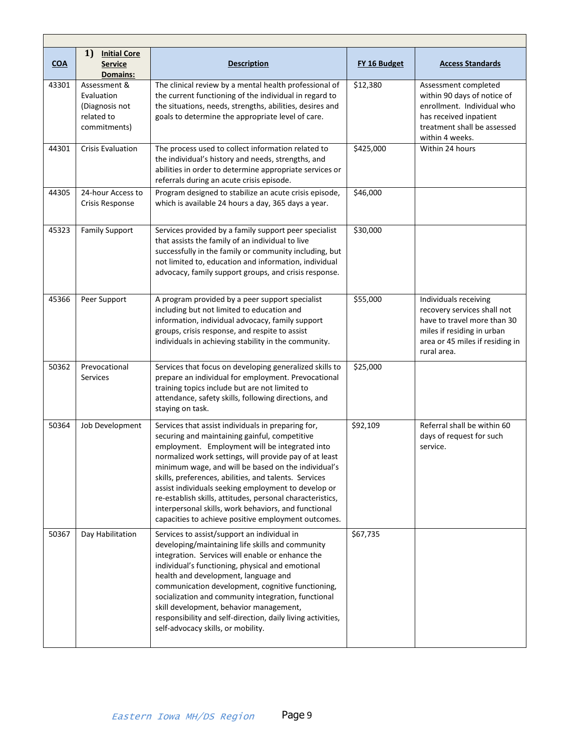| COA   | 1)<br><b>Initial Core</b><br><b>Service</b><br><b>Domains:</b>             | <b>Description</b>                                                                                                                                                                                                                                                                                                                                                                                                                                                                                                                                                 | FY 16 Budget | <b>Access Standards</b>                                                                                                                                             |  |
|-------|----------------------------------------------------------------------------|--------------------------------------------------------------------------------------------------------------------------------------------------------------------------------------------------------------------------------------------------------------------------------------------------------------------------------------------------------------------------------------------------------------------------------------------------------------------------------------------------------------------------------------------------------------------|--------------|---------------------------------------------------------------------------------------------------------------------------------------------------------------------|--|
| 43301 | Assessment &<br>Evaluation<br>(Diagnosis not<br>related to<br>commitments) | The clinical review by a mental health professional of<br>the current functioning of the individual in regard to<br>the situations, needs, strengths, abilities, desires and<br>goals to determine the appropriate level of care.                                                                                                                                                                                                                                                                                                                                  | \$12,380     | Assessment completed<br>within 90 days of notice of<br>enrollment. Individual who<br>has received inpatient<br>treatment shall be assessed<br>within 4 weeks.       |  |
| 44301 | <b>Crisis Evaluation</b>                                                   | The process used to collect information related to<br>the individual's history and needs, strengths, and<br>abilities in order to determine appropriate services or<br>referrals during an acute crisis episode.                                                                                                                                                                                                                                                                                                                                                   | \$425,000    | Within 24 hours                                                                                                                                                     |  |
| 44305 | 24-hour Access to<br>Crisis Response                                       | Program designed to stabilize an acute crisis episode,<br>which is available 24 hours a day, 365 days a year.                                                                                                                                                                                                                                                                                                                                                                                                                                                      | \$46,000     |                                                                                                                                                                     |  |
| 45323 | <b>Family Support</b>                                                      | Services provided by a family support peer specialist<br>that assists the family of an individual to live<br>successfully in the family or community including, but<br>not limited to, education and information, individual<br>advocacy, family support groups, and crisis response.                                                                                                                                                                                                                                                                              | \$30,000     |                                                                                                                                                                     |  |
| 45366 | Peer Support                                                               | A program provided by a peer support specialist<br>including but not limited to education and<br>information, individual advocacy, family support<br>groups, crisis response, and respite to assist<br>individuals in achieving stability in the community.                                                                                                                                                                                                                                                                                                        | \$55,000     | Individuals receiving<br>recovery services shall not<br>have to travel more than 30<br>miles if residing in urban<br>area or 45 miles if residing in<br>rural area. |  |
| 50362 | Prevocational<br><b>Services</b>                                           | Services that focus on developing generalized skills to<br>prepare an individual for employment. Prevocational<br>training topics include but are not limited to<br>attendance, safety skills, following directions, and<br>staying on task.                                                                                                                                                                                                                                                                                                                       | \$25,000     |                                                                                                                                                                     |  |
| 50364 | Job Development                                                            | Services that assist individuals in preparing for,<br>securing and maintaining gainful, competitive<br>employment. Employment will be integrated into<br>normalized work settings, will provide pay of at least<br>minimum wage, and will be based on the individual's<br>skills, preferences, abilities, and talents. Services<br>assist individuals seeking employment to develop or<br>re-establish skills, attitudes, personal characteristics,<br>interpersonal skills, work behaviors, and functional<br>capacities to achieve positive employment outcomes. | \$92,109     | Referral shall be within 60<br>days of request for such<br>service.                                                                                                 |  |
| 50367 | Day Habilitation                                                           | Services to assist/support an individual in<br>developing/maintaining life skills and community<br>integration. Services will enable or enhance the<br>individual's functioning, physical and emotional<br>health and development, language and<br>communication development, cognitive functioning,<br>socialization and community integration, functional<br>skill development, behavior management,<br>responsibility and self-direction, daily living activities,<br>self-advocacy skills, or mobility.                                                        | \$67,735     |                                                                                                                                                                     |  |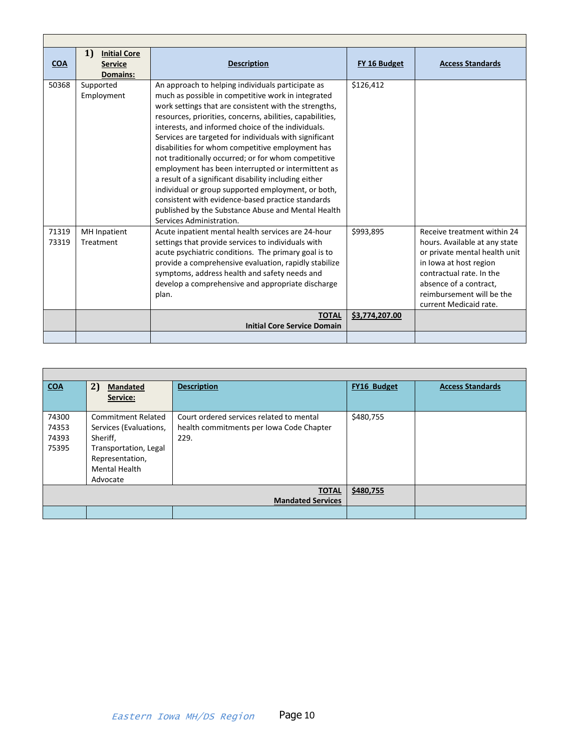| <b>COA</b>     | 1<br><b>Initial Core</b><br><b>Service</b> | <b>Description</b>                                                                                                                                                                                                                                                                                                                                                                                                                                                                                                                                                                                                                                                                                                                                                   | FY 16 Budget   | <b>Access Standards</b>                                                                                                                                                                                                              |
|----------------|--------------------------------------------|----------------------------------------------------------------------------------------------------------------------------------------------------------------------------------------------------------------------------------------------------------------------------------------------------------------------------------------------------------------------------------------------------------------------------------------------------------------------------------------------------------------------------------------------------------------------------------------------------------------------------------------------------------------------------------------------------------------------------------------------------------------------|----------------|--------------------------------------------------------------------------------------------------------------------------------------------------------------------------------------------------------------------------------------|
|                | <b>Domains:</b>                            |                                                                                                                                                                                                                                                                                                                                                                                                                                                                                                                                                                                                                                                                                                                                                                      |                |                                                                                                                                                                                                                                      |
| 50368          | Supported<br>Employment                    | An approach to helping individuals participate as<br>much as possible in competitive work in integrated<br>work settings that are consistent with the strengths,<br>resources, priorities, concerns, abilities, capabilities,<br>interests, and informed choice of the individuals.<br>Services are targeted for individuals with significant<br>disabilities for whom competitive employment has<br>not traditionally occurred; or for whom competitive<br>employment has been interrupted or intermittent as<br>a result of a significant disability including either<br>individual or group supported employment, or both,<br>consistent with evidence-based practice standards<br>published by the Substance Abuse and Mental Health<br>Services Administration. | \$126.412      |                                                                                                                                                                                                                                      |
| 71319<br>73319 | <b>MH</b> Inpatient<br>Treatment           | Acute inpatient mental health services are 24-hour<br>settings that provide services to individuals with<br>acute psychiatric conditions. The primary goal is to<br>provide a comprehensive evaluation, rapidly stabilize<br>symptoms, address health and safety needs and<br>develop a comprehensive and appropriate discharge<br>plan.                                                                                                                                                                                                                                                                                                                                                                                                                             | \$993,895      | Receive treatment within 24<br>hours. Available at any state<br>or private mental health unit<br>in Iowa at host region<br>contractual rate. In the<br>absence of a contract.<br>reimbursement will be the<br>current Medicaid rate. |
|                |                                            | <b>TOTAL</b><br><b>Initial Core Service Domain</b>                                                                                                                                                                                                                                                                                                                                                                                                                                                                                                                                                                                                                                                                                                                   | \$3,774,207.00 |                                                                                                                                                                                                                                      |
|                |                                            |                                                                                                                                                                                                                                                                                                                                                                                                                                                                                                                                                                                                                                                                                                                                                                      |                |                                                                                                                                                                                                                                      |

<span id="page-9-0"></span>

| <b>COA</b>                       | 2)<br><b>Mandated</b>                                                                                                                           | <b>Description</b>                                                                           | FY16 Budget | <b>Access Standards</b> |
|----------------------------------|-------------------------------------------------------------------------------------------------------------------------------------------------|----------------------------------------------------------------------------------------------|-------------|-------------------------|
|                                  | Service:                                                                                                                                        |                                                                                              |             |                         |
| 74300<br>74353<br>74393<br>75395 | <b>Commitment Related</b><br>Services (Evaluations,<br>Sheriff,<br>Transportation, Legal<br>Representation,<br><b>Mental Health</b><br>Advocate | Court ordered services related to mental<br>health commitments per Iowa Code Chapter<br>229. | \$480,755   |                         |
|                                  |                                                                                                                                                 | <b>TOTAL</b><br><b>Mandated Services</b>                                                     | \$480,755   |                         |
|                                  |                                                                                                                                                 |                                                                                              |             |                         |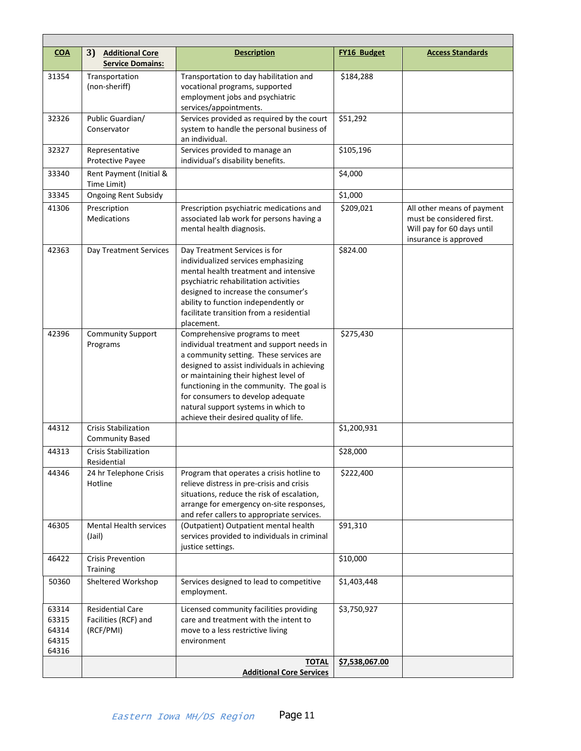<span id="page-10-0"></span>

| <b>COA</b>                                | 3)<br><b>Additional Core</b><br><b>Service Domains:</b>      | <b>Description</b>                                                                                                                                                                                                                                                                                                                                                                | <b>FY16 Budget</b> | <b>Access Standards</b>                                                                                        |
|-------------------------------------------|--------------------------------------------------------------|-----------------------------------------------------------------------------------------------------------------------------------------------------------------------------------------------------------------------------------------------------------------------------------------------------------------------------------------------------------------------------------|--------------------|----------------------------------------------------------------------------------------------------------------|
| 31354                                     | Transportation<br>(non-sheriff)                              | Transportation to day habilitation and<br>vocational programs, supported<br>employment jobs and psychiatric<br>services/appointments.                                                                                                                                                                                                                                             | \$184,288          |                                                                                                                |
| 32326                                     | Public Guardian/<br>Conservator                              | Services provided as required by the court<br>system to handle the personal business of<br>an individual.                                                                                                                                                                                                                                                                         | \$51,292           |                                                                                                                |
| 32327                                     | Representative<br>Protective Payee                           | Services provided to manage an<br>individual's disability benefits.                                                                                                                                                                                                                                                                                                               | \$105,196          |                                                                                                                |
| 33340                                     | Rent Payment (Initial &<br>Time Limit)                       |                                                                                                                                                                                                                                                                                                                                                                                   | \$4,000            |                                                                                                                |
| 33345                                     | <b>Ongoing Rent Subsidy</b>                                  |                                                                                                                                                                                                                                                                                                                                                                                   | \$1,000            |                                                                                                                |
| 41306                                     | Prescription<br><b>Medications</b>                           | Prescription psychiatric medications and<br>associated lab work for persons having a<br>mental health diagnosis.                                                                                                                                                                                                                                                                  | \$209,021          | All other means of payment<br>must be considered first.<br>Will pay for 60 days until<br>insurance is approved |
| 42363                                     | Day Treatment Services                                       | Day Treatment Services is for<br>individualized services emphasizing<br>mental health treatment and intensive<br>psychiatric rehabilitation activities<br>designed to increase the consumer's<br>ability to function independently or<br>facilitate transition from a residential<br>placement.                                                                                   | \$824.00           |                                                                                                                |
| 42396                                     | <b>Community Support</b><br>Programs                         | Comprehensive programs to meet<br>individual treatment and support needs in<br>a community setting. These services are<br>designed to assist individuals in achieving<br>or maintaining their highest level of<br>functioning in the community. The goal is<br>for consumers to develop adequate<br>natural support systems in which to<br>achieve their desired quality of life. | \$275,430          |                                                                                                                |
| 44312                                     | Crisis Stabilization<br><b>Community Based</b>               |                                                                                                                                                                                                                                                                                                                                                                                   | \$1,200,931        |                                                                                                                |
| 44313                                     | <b>Crisis Stabilization</b><br>Residential                   |                                                                                                                                                                                                                                                                                                                                                                                   | \$28,000           |                                                                                                                |
| 44346                                     | 24 hr Telephone Crisis<br>Hotline                            | Program that operates a crisis hotline to<br>relieve distress in pre-crisis and crisis<br>situations, reduce the risk of escalation,<br>arrange for emergency on-site responses,<br>and refer callers to appropriate services.                                                                                                                                                    | \$222,400          |                                                                                                                |
| 46305                                     | <b>Mental Health services</b><br>(Jail)                      | (Outpatient) Outpatient mental health<br>services provided to individuals in criminal<br>justice settings.                                                                                                                                                                                                                                                                        | \$91,310           |                                                                                                                |
| 46422                                     | <b>Crisis Prevention</b><br>Training                         |                                                                                                                                                                                                                                                                                                                                                                                   | \$10,000           |                                                                                                                |
| 50360                                     | Sheltered Workshop                                           | Services designed to lead to competitive<br>employment.                                                                                                                                                                                                                                                                                                                           | \$1,403,448        |                                                                                                                |
| 63314<br>63315<br>64314<br>64315<br>64316 | <b>Residential Care</b><br>Facilities (RCF) and<br>(RCF/PMI) | Licensed community facilities providing<br>care and treatment with the intent to<br>move to a less restrictive living<br>environment                                                                                                                                                                                                                                              | \$3,750,927        |                                                                                                                |
|                                           |                                                              | <b>TOTAL</b><br><b>Additional Core Services</b>                                                                                                                                                                                                                                                                                                                                   | \$7,538,067.00     |                                                                                                                |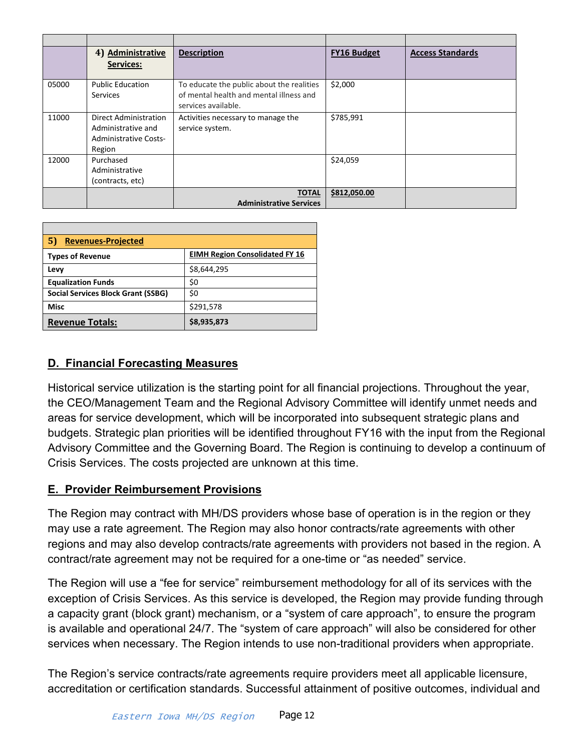<span id="page-11-0"></span>

|       | 4) Administrative<br><b>Services:</b>                                                 | <b>Description</b>                                                                                          | <b>FY16 Budget</b> | <b>Access Standards</b> |
|-------|---------------------------------------------------------------------------------------|-------------------------------------------------------------------------------------------------------------|--------------------|-------------------------|
| 05000 | <b>Public Education</b><br><b>Services</b>                                            | To educate the public about the realities<br>of mental health and mental illness and<br>services available. | \$2,000            |                         |
| 11000 | Direct Administration<br>Administrative and<br><b>Administrative Costs-</b><br>Region | Activities necessary to manage the<br>service system.                                                       | \$785,991          |                         |
| 12000 | Purchased<br>Administrative<br>(contracts, etc)                                       |                                                                                                             | \$24,059           |                         |
|       |                                                                                       | <b>TOTAL</b><br><b>Administrative Services</b>                                                              | \$812,050.00       |                         |

<span id="page-11-1"></span>

| 5)<br><b>Revenues-Projected</b>           |                                       |  |  |  |  |  |  |  |  |
|-------------------------------------------|---------------------------------------|--|--|--|--|--|--|--|--|
| <b>Types of Revenue</b>                   | <b>EIMH Region Consolidated FY 16</b> |  |  |  |  |  |  |  |  |
| Levy                                      | \$8,644,295                           |  |  |  |  |  |  |  |  |
| <b>Equalization Funds</b>                 | \$0                                   |  |  |  |  |  |  |  |  |
| <b>Social Services Block Grant (SSBG)</b> | \$0                                   |  |  |  |  |  |  |  |  |
| <b>Misc</b>                               | \$291,578                             |  |  |  |  |  |  |  |  |
| <b>Revenue Totals:</b>                    | \$8,935,873                           |  |  |  |  |  |  |  |  |

# <span id="page-11-2"></span>**D. Financial Forecasting Measures**

Historical service utilization is the starting point for all financial projections. Throughout the year, the CEO/Management Team and the Regional Advisory Committee will identify unmet needs and areas for service development, which will be incorporated into subsequent strategic plans and budgets. Strategic plan priorities will be identified throughout FY16 with the input from the Regional Advisory Committee and the Governing Board. The Region is continuing to develop a continuum of Crisis Services. The costs projected are unknown at this time.

### <span id="page-11-3"></span>**E. Provider Reimbursement Provisions**

The Region may contract with MH/DS providers whose base of operation is in the region or they may use a rate agreement. The Region may also honor contracts/rate agreements with other regions and may also develop contracts/rate agreements with providers not based in the region. A contract/rate agreement may not be required for a one-time or "as needed" service.

The Region will use a "fee for service" reimbursement methodology for all of its services with the exception of Crisis Services. As this service is developed, the Region may provide funding through a capacity grant (block grant) mechanism, or a "system of care approach", to ensure the program is available and operational 24/7. The "system of care approach" will also be considered for other services when necessary. The Region intends to use non-traditional providers when appropriate.

The Region's service contracts/rate agreements require providers meet all applicable licensure, accreditation or certification standards. Successful attainment of positive outcomes, individual and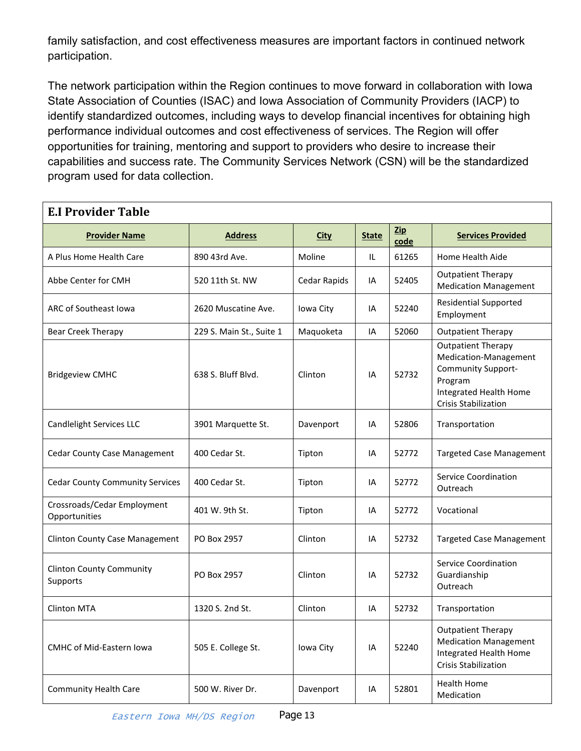family satisfaction, and cost effectiveness measures are important factors in continued network participation.

The network participation within the Region continues to move forward in collaboration with Iowa State Association of Counties (ISAC) and Iowa Association of Community Providers (IACP) to identify standardized outcomes, including ways to develop financial incentives for obtaining high performance individual outcomes and cost effectiveness of services. The Region will offer opportunities for training, mentoring and support to providers who desire to increase their capabilities and success rate. The Community Services Network (CSN) will be the standardized program used for data collection.

<span id="page-12-0"></span>

| <b>E.I Provider Table</b>                    |                          |              |              |                        |                                                                                                                                              |  |  |  |  |  |  |
|----------------------------------------------|--------------------------|--------------|--------------|------------------------|----------------------------------------------------------------------------------------------------------------------------------------------|--|--|--|--|--|--|
| <b>Provider Name</b>                         | <b>Address</b>           | <b>City</b>  | <b>State</b> | $\mathbf{Zip}$<br>code | <b>Services Provided</b>                                                                                                                     |  |  |  |  |  |  |
| A Plus Home Health Care                      | 890 43rd Ave.            | Moline       | IL           | 61265                  | Home Health Aide                                                                                                                             |  |  |  |  |  |  |
| Abbe Center for CMH                          | 520 11th St. NW          | Cedar Rapids | IA           | 52405                  | <b>Outpatient Therapy</b><br><b>Medication Management</b>                                                                                    |  |  |  |  |  |  |
| ARC of Southeast Iowa                        | 2620 Muscatine Ave.      | Iowa City    | IA           | 52240                  | <b>Residential Supported</b><br>Employment                                                                                                   |  |  |  |  |  |  |
| Bear Creek Therapy                           | 229 S. Main St., Suite 1 | Maquoketa    | IA           | 52060                  | <b>Outpatient Therapy</b>                                                                                                                    |  |  |  |  |  |  |
| <b>Bridgeview CMHC</b>                       | 638 S. Bluff Blvd.       | Clinton      | IA           | 52732                  | <b>Outpatient Therapy</b><br>Medication-Management<br>Community Support-<br>Program<br>Integrated Health Home<br><b>Crisis Stabilization</b> |  |  |  |  |  |  |
| Candlelight Services LLC                     | 3901 Marquette St.       | Davenport    | IA           | 52806                  | Transportation                                                                                                                               |  |  |  |  |  |  |
| <b>Cedar County Case Management</b>          | 400 Cedar St.            | Tipton       | IA           | 52772                  | <b>Targeted Case Management</b>                                                                                                              |  |  |  |  |  |  |
| <b>Cedar County Community Services</b>       | 400 Cedar St.            | Tipton       | IA           | 52772                  | <b>Service Coordination</b><br>Outreach                                                                                                      |  |  |  |  |  |  |
| Crossroads/Cedar Employment<br>Opportunities | 401 W. 9th St.           | Tipton       | IA           | 52772                  | Vocational                                                                                                                                   |  |  |  |  |  |  |
| <b>Clinton County Case Management</b>        | PO Box 2957              | Clinton      | IA           | 52732                  | <b>Targeted Case Management</b>                                                                                                              |  |  |  |  |  |  |
| <b>Clinton County Community</b><br>Supports  | PO Box 2957              | Clinton      | IA           | 52732                  | Service Coordination<br>Guardianship<br>Outreach                                                                                             |  |  |  |  |  |  |
| <b>Clinton MTA</b>                           | 1320 S. 2nd St.          | Clinton      | IA           | 52732                  | Transportation                                                                                                                               |  |  |  |  |  |  |
| <b>CMHC of Mid-Eastern Iowa</b>              | 505 E. College St.       | Iowa City    | IA           | 52240                  | <b>Outpatient Therapy</b><br><b>Medication Management</b><br>Integrated Health Home<br><b>Crisis Stabilization</b>                           |  |  |  |  |  |  |
| <b>Community Health Care</b>                 | 500 W. River Dr.         | Davenport    | IA           | 52801                  | <b>Health Home</b><br>Medication                                                                                                             |  |  |  |  |  |  |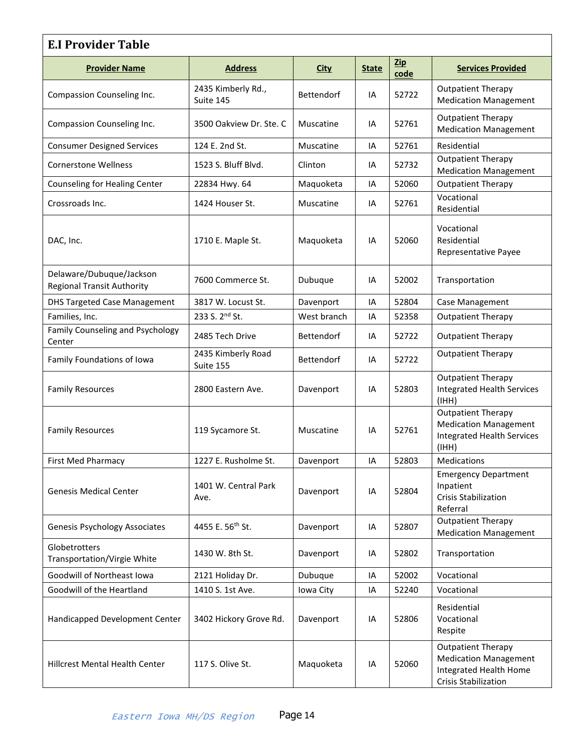| <b>E.I Provider Table</b>                                     |                                 |                   |              |                    |                                                                                                                    |  |  |  |  |  |
|---------------------------------------------------------------|---------------------------------|-------------------|--------------|--------------------|--------------------------------------------------------------------------------------------------------------------|--|--|--|--|--|
| <b>Provider Name</b>                                          | <b>Address</b>                  | <b>City</b>       | <b>State</b> | <b>Zip</b><br>code | <b>Services Provided</b>                                                                                           |  |  |  |  |  |
| Compassion Counseling Inc.                                    | 2435 Kimberly Rd.,<br>Suite 145 | Bettendorf        | IA           | 52722              | <b>Outpatient Therapy</b><br><b>Medication Management</b>                                                          |  |  |  |  |  |
| Compassion Counseling Inc.                                    | 3500 Oakview Dr. Ste. C         | Muscatine         | IA           | 52761              | <b>Outpatient Therapy</b><br><b>Medication Management</b>                                                          |  |  |  |  |  |
| <b>Consumer Designed Services</b>                             | 124 E. 2nd St.                  | Muscatine         | IA           | 52761              | Residential                                                                                                        |  |  |  |  |  |
| <b>Cornerstone Wellness</b>                                   | 1523 S. Bluff Blvd.             | Clinton           | IA           | 52732              | <b>Outpatient Therapy</b><br><b>Medication Management</b>                                                          |  |  |  |  |  |
| Counseling for Healing Center                                 | 22834 Hwy. 64                   | Maquoketa         | IA           | 52060              | <b>Outpatient Therapy</b>                                                                                          |  |  |  |  |  |
| Crossroads Inc.                                               | 1424 Houser St.                 | Muscatine         | IA           | 52761              | Vocational<br>Residential                                                                                          |  |  |  |  |  |
| DAC, Inc.                                                     | 1710 E. Maple St.               | Maquoketa         | IA           | 52060              | Vocational<br>Residential<br>Representative Payee                                                                  |  |  |  |  |  |
| Delaware/Dubuque/Jackson<br><b>Regional Transit Authority</b> | 7600 Commerce St.               | Dubuque           | IA           | 52002              | Transportation                                                                                                     |  |  |  |  |  |
| <b>DHS Targeted Case Management</b>                           | 3817 W. Locust St.              | Davenport         | IA           | 52804              | Case Management                                                                                                    |  |  |  |  |  |
| Families, Inc.                                                | 233 S. 2 <sup>nd</sup> St.      | West branch       | IA           | 52358              | <b>Outpatient Therapy</b>                                                                                          |  |  |  |  |  |
| Family Counseling and Psychology<br>Center                    | 2485 Tech Drive                 | <b>Bettendorf</b> | IA           | 52722              | <b>Outpatient Therapy</b>                                                                                          |  |  |  |  |  |
| Family Foundations of Iowa                                    | 2435 Kimberly Road<br>Suite 155 | Bettendorf        | IA           | 52722              | <b>Outpatient Therapy</b>                                                                                          |  |  |  |  |  |
| <b>Family Resources</b>                                       | 2800 Eastern Ave.               | Davenport         | IA           | 52803              | <b>Outpatient Therapy</b><br><b>Integrated Health Services</b><br>(HHH)                                            |  |  |  |  |  |
| <b>Family Resources</b>                                       | 119 Sycamore St.                | Muscatine<br>IA   |              | 52761              | <b>Outpatient Therapy</b><br><b>Medication Management</b><br><b>Integrated Health Services</b><br>(HHH)            |  |  |  |  |  |
| <b>First Med Pharmacy</b>                                     | 1227 E. Rusholme St.            | Davenport         | IA           | 52803              | Medications                                                                                                        |  |  |  |  |  |
| <b>Genesis Medical Center</b>                                 | 1401 W. Central Park<br>Ave.    | Davenport         | IA           |                    | <b>Emergency Department</b><br>Inpatient<br><b>Crisis Stabilization</b><br>Referral                                |  |  |  |  |  |
| <b>Genesis Psychology Associates</b>                          | 4455 E. 56 <sup>th</sup> St.    | Davenport         | IA           | 52807              | <b>Outpatient Therapy</b><br><b>Medication Management</b>                                                          |  |  |  |  |  |
| Globetrotters<br><b>Transportation/Virgie White</b>           | 1430 W. 8th St.                 | Davenport         | IA           | 52802              | Transportation                                                                                                     |  |  |  |  |  |
| Goodwill of Northeast Iowa                                    | 2121 Holiday Dr.                | Dubuque           | IA           | 52002              | Vocational                                                                                                         |  |  |  |  |  |
| Goodwill of the Heartland                                     | 1410 S. 1st Ave.                | Iowa City         | IA           | 52240              | Vocational                                                                                                         |  |  |  |  |  |
| Handicapped Development Center                                | 3402 Hickory Grove Rd.          | Davenport         | IA           | 52806              | Residential<br>Vocational<br>Respite                                                                               |  |  |  |  |  |
| Hillcrest Mental Health Center                                | 117 S. Olive St.                | Maquoketa         | IA           | 52060              | <b>Outpatient Therapy</b><br><b>Medication Management</b><br>Integrated Health Home<br><b>Crisis Stabilization</b> |  |  |  |  |  |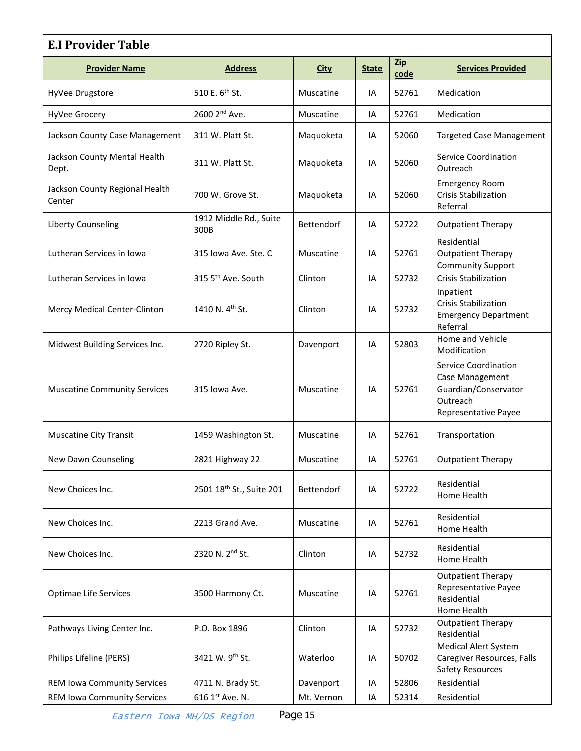| <b>E.I Provider Table</b>                |                                      |             |              |                        |                                                                                                     |  |  |  |  |  |
|------------------------------------------|--------------------------------------|-------------|--------------|------------------------|-----------------------------------------------------------------------------------------------------|--|--|--|--|--|
| <b>Provider Name</b>                     | <b>Address</b>                       | <b>City</b> | <b>State</b> | $\mathbf{Zip}$<br>code | <b>Services Provided</b>                                                                            |  |  |  |  |  |
| HyVee Drugstore                          | 510 E. 6 <sup>th</sup> St.           | Muscatine   | IA           | 52761                  | Medication                                                                                          |  |  |  |  |  |
| HyVee Grocery                            | 2600 2 <sup>nd</sup> Ave.            | Muscatine   | IA           | 52761                  | Medication                                                                                          |  |  |  |  |  |
| Jackson County Case Management           | 311 W. Platt St.                     | Maquoketa   | IA           | 52060                  | <b>Targeted Case Management</b>                                                                     |  |  |  |  |  |
| Jackson County Mental Health<br>Dept.    | 311 W. Platt St.                     | Maquoketa   | IA           | 52060                  | <b>Service Coordination</b><br>Outreach                                                             |  |  |  |  |  |
| Jackson County Regional Health<br>Center | 700 W. Grove St.                     | Maquoketa   | IA           | 52060                  | <b>Emergency Room</b><br><b>Crisis Stabilization</b><br>Referral                                    |  |  |  |  |  |
| Liberty Counseling                       | 1912 Middle Rd., Suite<br>300B       | Bettendorf  | IA           | 52722                  | <b>Outpatient Therapy</b>                                                                           |  |  |  |  |  |
| Lutheran Services in Iowa                | 315 Iowa Ave. Ste. C                 | Muscatine   | IA           | 52761                  | Residential<br><b>Outpatient Therapy</b><br><b>Community Support</b>                                |  |  |  |  |  |
| Lutheran Services in Iowa                | 315 5 <sup>th</sup> Ave. South       | Clinton     | IA           | 52732                  | <b>Crisis Stabilization</b>                                                                         |  |  |  |  |  |
| Mercy Medical Center-Clinton             | 1410 N. 4th St.                      | Clinton     | IA           | 52732                  | Inpatient<br><b>Crisis Stabilization</b><br><b>Emergency Department</b><br>Referral                 |  |  |  |  |  |
| Midwest Building Services Inc.           | 2720 Ripley St.                      | Davenport   | IA           | 52803                  | Home and Vehicle<br>Modification                                                                    |  |  |  |  |  |
| <b>Muscatine Community Services</b>      | 315 Iowa Ave.                        | Muscatine   | IA           | 52761                  | Service Coordination<br>Case Management<br>Guardian/Conservator<br>Outreach<br>Representative Payee |  |  |  |  |  |
| <b>Muscatine City Transit</b>            | 1459 Washington St.                  | Muscatine   | IA           | 52761                  | Transportation                                                                                      |  |  |  |  |  |
| New Dawn Counseling                      | 2821 Highway 22                      | Muscatine   | IA           | 52761                  | <b>Outpatient Therapy</b>                                                                           |  |  |  |  |  |
| New Choices Inc.                         | 2501 18 <sup>th</sup> St., Suite 201 | Bettendorf  | IA           | 52722                  | Residential<br>Home Health                                                                          |  |  |  |  |  |
| New Choices Inc.                         | 2213 Grand Ave.                      | Muscatine   | IA           | 52761                  | Residential<br>Home Health                                                                          |  |  |  |  |  |
| New Choices Inc.                         | 2320 N. 2nd St.                      | Clinton     | IA           | 52732                  | Residential<br>Home Health                                                                          |  |  |  |  |  |
| Optimae Life Services                    | 3500 Harmony Ct.                     | Muscatine   | IA           | 52761                  | <b>Outpatient Therapy</b><br>Representative Payee<br>Residential<br>Home Health                     |  |  |  |  |  |
| Pathways Living Center Inc.              | P.O. Box 1896                        | Clinton     | IA           | 52732                  | <b>Outpatient Therapy</b><br>Residential                                                            |  |  |  |  |  |
| Philips Lifeline (PERS)                  | 3421 W. 9th St.                      | Waterloo    | IA           | 50702                  | <b>Medical Alert System</b><br>Caregiver Resources, Falls<br>Safety Resources                       |  |  |  |  |  |
| <b>REM Iowa Community Services</b>       | 4711 N. Brady St.                    | Davenport   | IA           | 52806                  | Residential                                                                                         |  |  |  |  |  |
| <b>REM Iowa Community Services</b>       | 616 1st Ave. N.                      | Mt. Vernon  | IA           | 52314                  | Residential                                                                                         |  |  |  |  |  |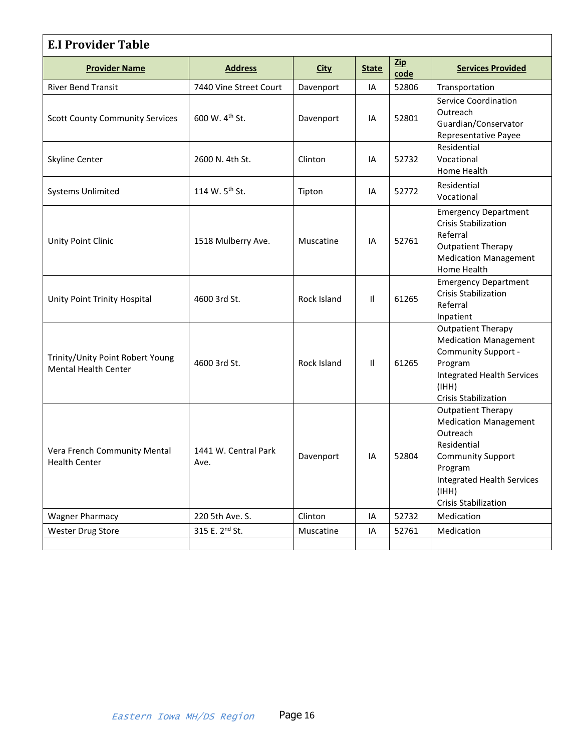| <b>E.I Provider Table</b>                                       |                              |             |              |             |                                                                                                                                                                                                          |  |  |  |  |  |
|-----------------------------------------------------------------|------------------------------|-------------|--------------|-------------|----------------------------------------------------------------------------------------------------------------------------------------------------------------------------------------------------------|--|--|--|--|--|
| <b>Provider Name</b>                                            | <b>Address</b>               | <b>City</b> | <b>State</b> | Zip<br>code | <b>Services Provided</b>                                                                                                                                                                                 |  |  |  |  |  |
| <b>River Bend Transit</b>                                       | 7440 Vine Street Court       | Davenport   | IA           | 52806       | Transportation                                                                                                                                                                                           |  |  |  |  |  |
| <b>Scott County Community Services</b>                          | 600 W. 4 <sup>th</sup> St.   | Davenport   | IA           | 52801       | <b>Service Coordination</b><br>Outreach<br>Guardian/Conservator<br>Representative Payee                                                                                                                  |  |  |  |  |  |
| Skyline Center                                                  | 2600 N. 4th St.              | Clinton     | IA           | 52732       | Residential<br>Vocational<br>Home Health                                                                                                                                                                 |  |  |  |  |  |
| <b>Systems Unlimited</b>                                        | 114 W. 5 <sup>th</sup> St.   | Tipton      | IA           | 52772       | Residential<br>Vocational                                                                                                                                                                                |  |  |  |  |  |
| Unity Point Clinic                                              | 1518 Mulberry Ave.           | Muscatine   | IA           | 52761       | <b>Emergency Department</b><br><b>Crisis Stabilization</b><br>Referral<br><b>Outpatient Therapy</b><br><b>Medication Management</b><br>Home Health                                                       |  |  |  |  |  |
| Unity Point Trinity Hospital                                    | 4600 3rd St.                 | Rock Island | $\mathbf{H}$ | 61265       | <b>Emergency Department</b><br><b>Crisis Stabilization</b><br>Referral<br>Inpatient                                                                                                                      |  |  |  |  |  |
| Trinity/Unity Point Robert Young<br><b>Mental Health Center</b> | 4600 3rd St.                 | Rock Island | $\mathbf{H}$ | 61265       | <b>Outpatient Therapy</b><br><b>Medication Management</b><br>Community Support -<br>Program<br><b>Integrated Health Services</b><br>(IHH)<br><b>Crisis Stabilization</b>                                 |  |  |  |  |  |
| Vera French Community Mental<br><b>Health Center</b>            | 1441 W. Central Park<br>Ave. | Davenport   | IA           | 52804       | <b>Outpatient Therapy</b><br><b>Medication Management</b><br>Outreach<br>Residential<br><b>Community Support</b><br>Program<br><b>Integrated Health Services</b><br>(HHH)<br><b>Crisis Stabilization</b> |  |  |  |  |  |
| <b>Wagner Pharmacy</b>                                          | 220 5th Ave. S.              | Clinton     | IA           | 52732       | Medication                                                                                                                                                                                               |  |  |  |  |  |
| <b>Wester Drug Store</b>                                        | 315 E. 2 <sup>nd</sup> St.   | Muscatine   | IA           | 52761       | Medication                                                                                                                                                                                               |  |  |  |  |  |
|                                                                 |                              |             |              |             |                                                                                                                                                                                                          |  |  |  |  |  |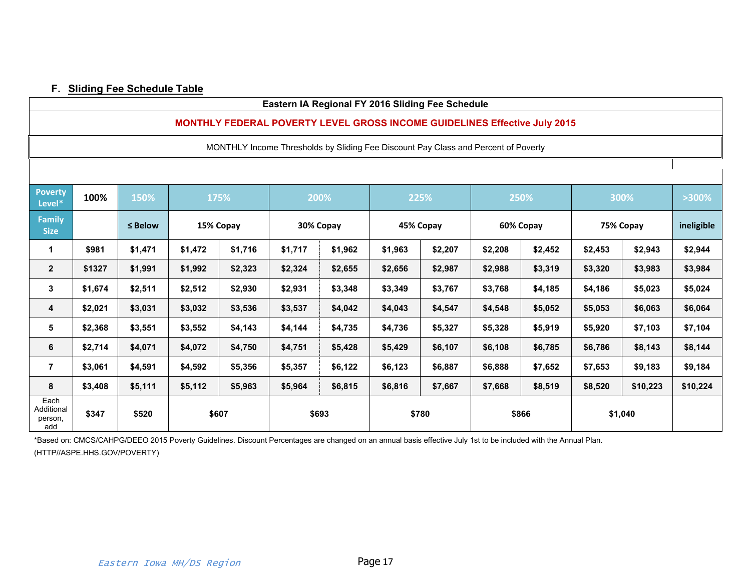### **F. Sliding Fee Schedule Table**

#### **Eastern IA Regional FY 2016 Sliding Fee Schedule**

#### **MONTHLY FEDERAL POVERTY LEVEL GROSS INCOME GUIDELINES Effective July 2015**

MONTHLY Income Thresholds by Sliding Fee Discount Pay Class and Percent of Poverty

<span id="page-16-0"></span>

| <b>Poverty</b><br>Level*             | 100%    | 150%         | 175%    |           | 200%      |         | 225%      |         | 250%      |         | 300%      |          | >300%      |
|--------------------------------------|---------|--------------|---------|-----------|-----------|---------|-----------|---------|-----------|---------|-----------|----------|------------|
| <b>Family</b><br><b>Size</b>         |         | $\leq$ Below |         | 15% Copay | 30% Copay |         | 45% Copay |         | 60% Copay |         | 75% Copay |          | ineligible |
| 1                                    | \$981   | \$1,471      | \$1,472 | \$1,716   | \$1,717   | \$1,962 | \$1,963   | \$2,207 | \$2,208   | \$2,452 | \$2,453   | \$2,943  | \$2,944    |
| $\mathbf{2}$                         | \$1327  | \$1,991      | \$1,992 | \$2,323   | \$2,324   | \$2,655 | \$2,656   | \$2,987 | \$2,988   | \$3,319 | \$3,320   | \$3,983  | \$3,984    |
| 3                                    | \$1,674 | \$2,511      | \$2,512 | \$2,930   | \$2,931   | \$3,348 | \$3,349   | \$3,767 | \$3,768   | \$4,185 | \$4,186   | \$5,023  | \$5,024    |
| 4                                    | \$2,021 | \$3,031      | \$3,032 | \$3,536   | \$3,537   | \$4,042 | \$4,043   | \$4,547 | \$4,548   | \$5,052 | \$5,053   | \$6,063  | \$6,064    |
| 5                                    | \$2,368 | \$3,551      | \$3,552 | \$4,143   | \$4,144   | \$4,735 | \$4,736   | \$5,327 | \$5,328   | \$5,919 | \$5,920   | \$7,103  | \$7,104    |
| 6                                    | \$2,714 | \$4,071      | \$4,072 | \$4,750   | \$4,751   | \$5,428 | \$5,429   | \$6,107 | \$6,108   | \$6,785 | \$6,786   | \$8,143  | \$8,144    |
| 7                                    | \$3,061 | \$4,591      | \$4,592 | \$5,356   | \$5,357   | \$6,122 | \$6,123   | \$6,887 | \$6,888   | \$7,652 | \$7,653   | \$9,183  | \$9,184    |
| 8                                    | \$3,408 | \$5,111      | \$5,112 | \$5,963   | \$5,964   | \$6,815 | \$6,816   | \$7,667 | \$7,668   | \$8,519 | \$8,520   | \$10,223 | \$10,224   |
| Each<br>Additional<br>person,<br>add | \$347   | \$520        | \$607   |           | \$693     |         | \$780     |         | \$866     |         | \$1,040   |          |            |

\*Based on: CMCS/CAHPG/DEEO 2015 Poverty Guidelines. Discount Percentages are changed on an annual basis effective July 1st to be included with the Annual Plan. (HTTP//ASPE.HHS.GOV/POVERTY)